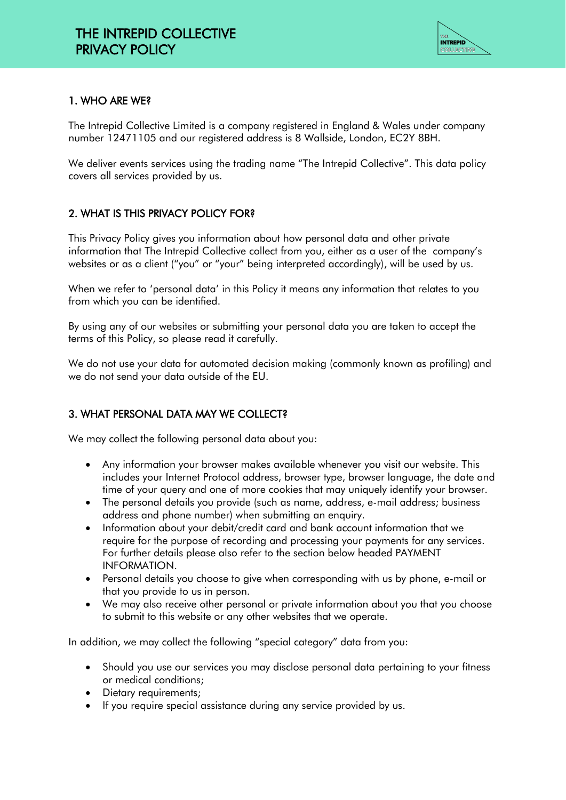

# 1. WHO ARE WE?

The Intrepid Collective Limited is a company registered in England & Wales under company number 12471105 and our registered address is 8 Wallside, London, EC2Y 8BH.

We deliver events services using the trading name "The Intrepid Collective". This data policy covers all services provided by us.

## 2. WHAT IS THIS PRIVACY POLICY FOR?

This Privacy Policy gives you information about how personal data and other private information that The Intrepid Collective collect from you, either as a user of the company's websites or as a client ("you" or "your" being interpreted accordingly), will be used by us.

When we refer to 'personal data' in this Policy it means any information that relates to you from which you can be identified.

By using any of our websites or submitting your personal data you are taken to accept the terms of this Policy, so please read it carefully.

We do not use your data for automated decision making (commonly known as profiling) and we do not send your data outside of the EU.

## 3. WHAT PERSONAL DATA MAY WE COLLECT?

We may collect the following personal data about you:

- Any information your browser makes available whenever you visit our website. This includes your Internet Protocol address, browser type, browser language, the date and time of your query and one of more cookies that may uniquely identify your browser.
- The personal details you provide (such as name, address, e-mail address; business address and phone number) when submitting an enquiry.
- Information about your debit/credit card and bank account information that we require for the purpose of recording and processing your payments for any services. For further details please also refer to the section below headed PAYMENT INFORMATION.
- Personal details you choose to give when corresponding with us by phone, e-mail or that you provide to us in person.
- We may also receive other personal or private information about you that you choose to submit to this website or any other websites that we operate.

In addition, we may collect the following "special category" data from you:

- Should you use our services you may disclose personal data pertaining to your fitness or medical conditions;
- Dietary requirements:
- If you require special assistance during any service provided by us.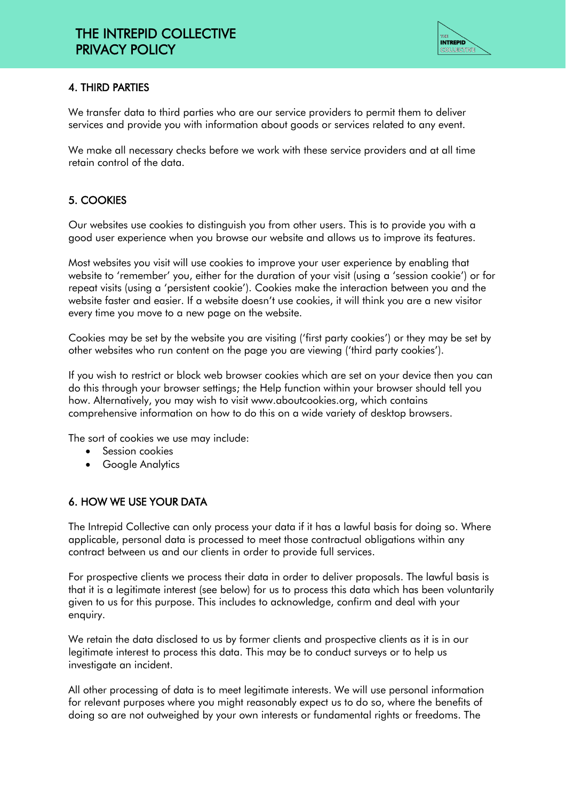

#### 4. THIRD PARTIES

We transfer data to third parties who are our service providers to permit them to deliver services and provide you with information about goods or services related to any event.

We make all necessary checks before we work with these service providers and at all time retain control of the data.

## 5. COOKIES

Our websites use cookies to distinguish you from other users. This is to provide you with a good user experience when you browse our website and allows us to improve its features.

Most websites you visit will use cookies to improve your user experience by enabling that website to 'remember' you, either for the duration of your visit (using a 'session cookie') or for repeat visits (using a 'persistent cookie'). Cookies make the interaction between you and the website faster and easier. If a website doesn't use cookies, it will think you are a new visitor every time you move to a new page on the website.

Cookies may be set by the website you are visiting ('first party cookies') or they may be set by other websites who run content on the page you are viewing ('third party cookies').

If you wish to restrict or block web browser cookies which are set on your device then you can do this through your browser settings; the Help function within your browser should tell you how. Alternatively, you may wish to visit www.aboutcookies.org, which contains comprehensive information on how to do this on a wide variety of desktop browsers.

The sort of cookies we use may include:

- Session cookies
- Google Analytics

#### 6. HOW WE USE YOUR DATA

The Intrepid Collective can only process your data if it has a lawful basis for doing so. Where applicable, personal data is processed to meet those contractual obligations within any contract between us and our clients in order to provide full services.

For prospective clients we process their data in order to deliver proposals. The lawful basis is that it is a legitimate interest (see below) for us to process this data which has been voluntarily given to us for this purpose. This includes to acknowledge, confirm and deal with your enquiry.

We retain the data disclosed to us by former clients and prospective clients as it is in our legitimate interest to process this data. This may be to conduct surveys or to help us investigate an incident.

All other processing of data is to meet legitimate interests. We will use personal information for relevant purposes where you might reasonably expect us to do so, where the benefits of doing so are not outweighed by your own interests or fundamental rights or freedoms. The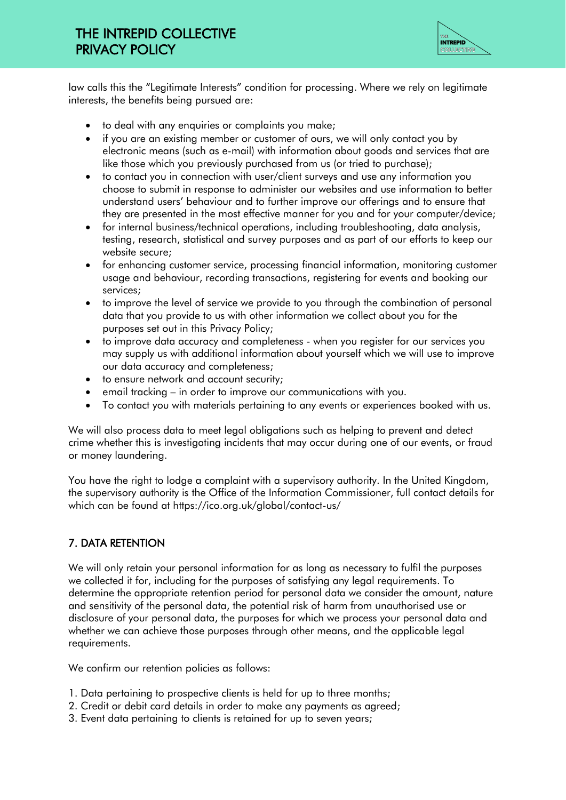# THE INTREPID COLLECTIVE PRIVACY POLICY



law calls this the "Legitimate Interests" condition for processing. Where we rely on legitimate interests, the benefits being pursued are:

- to deal with any enquiries or complaints you make;
- if you are an existing member or customer of ours, we will only contact you by electronic means (such as e-mail) with information about goods and services that are like those which you previously purchased from us (or tried to purchase);
- to contact you in connection with user/client surveys and use any information you choose to submit in response to administer our websites and use information to better understand users' behaviour and to further improve our offerings and to ensure that they are presented in the most effective manner for you and for your computer/device;
- for internal business/technical operations, including troubleshooting, data analysis, testing, research, statistical and survey purposes and as part of our efforts to keep our website secure;
- for enhancing customer service, processing financial information, monitoring customer usage and behaviour, recording transactions, registering for events and booking our services;
- to improve the level of service we provide to you through the combination of personal data that you provide to us with other information we collect about you for the purposes set out in this Privacy Policy;
- to improve data accuracy and completeness when you register for our services you may supply us with additional information about yourself which we will use to improve our data accuracy and completeness;
- to ensure network and account security;
- email tracking in order to improve our communications with you.
- To contact you with materials pertaining to any events or experiences booked with us.

We will also process data to meet legal obligations such as helping to prevent and detect crime whether this is investigating incidents that may occur during one of our events, or fraud or money laundering.

You have the right to lodge a complaint with a supervisory authority. In the United Kingdom, the supervisory authority is the Office of the Information Commissioner, full contact details for which can be found at https://ico.org.uk/global/contact-us/

#### 7. DATA RETENTION

We will only retain your personal information for as long as necessary to fulfil the purposes we collected it for, including for the purposes of satisfying any legal requirements. To determine the appropriate retention period for personal data we consider the amount, nature and sensitivity of the personal data, the potential risk of harm from unauthorised use or disclosure of your personal data, the purposes for which we process your personal data and whether we can achieve those purposes through other means, and the applicable legal requirements.

We confirm our retention policies as follows:

- 1. Data pertaining to prospective clients is held for up to three months;
- 2. Credit or debit card details in order to make any payments as agreed;
- 3. Event data pertaining to clients is retained for up to seven years;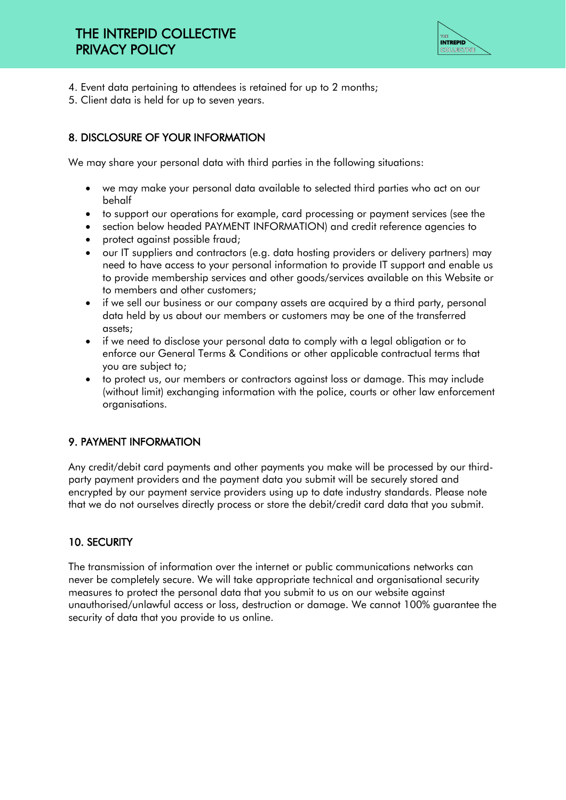

- 4. Event data pertaining to attendees is retained for up to 2 months;
- 5. Client data is held for up to seven years.

# 8. DISCLOSURE OF YOUR INFORMATION

We may share your personal data with third parties in the following situations:

- we may make your personal data available to selected third parties who act on our behalf
- to support our operations for example, card processing or payment services (see the
- section below headed PAYMENT INFORMATION) and credit reference agencies to
- protect against possible fraud;
- our IT suppliers and contractors (e.g. data hosting providers or delivery partners) may need to have access to your personal information to provide IT support and enable us to provide membership services and other goods/services available on this Website or to members and other customers;
- if we sell our business or our company assets are acquired by a third party, personal data held by us about our members or customers may be one of the transferred assets;
- if we need to disclose your personal data to comply with a legal obligation or to enforce our General Terms & Conditions or other applicable contractual terms that you are subject to;
- to protect us, our members or contractors against loss or damage. This may include (without limit) exchanging information with the police, courts or other law enforcement organisations.

## 9. PAYMENT INFORMATION

Any credit/debit card payments and other payments you make will be processed by our thirdparty payment providers and the payment data you submit will be securely stored and encrypted by our payment service providers using up to date industry standards. Please note that we do not ourselves directly process or store the debit/credit card data that you submit.

## 10. SECURITY

The transmission of information over the internet or public communications networks can never be completely secure. We will take appropriate technical and organisational security measures to protect the personal data that you submit to us on our website against unauthorised/unlawful access or loss, destruction or damage. We cannot 100% guarantee the security of data that you provide to us online.